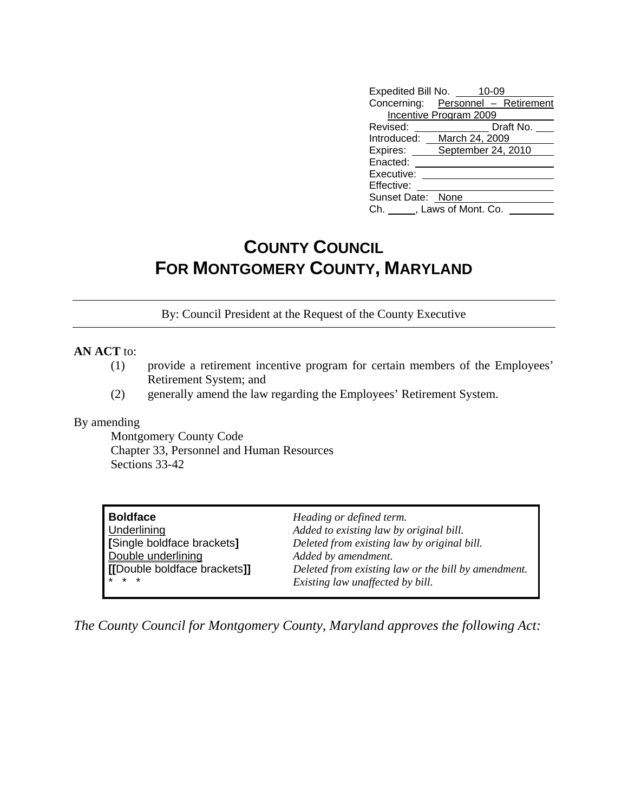| Expedited Bill No. 10-09      |                                    |
|-------------------------------|------------------------------------|
|                               | Concerning: Personnel - Retirement |
| <b>Incentive Program 2009</b> |                                    |
| Revised:                      | Draft No.                          |
| Introduced:                   | March 24, 2009                     |
| Expires: ___                  | September 24, 2010                 |
| Enacted:                      |                                    |
| Executive:                    |                                    |
| Effective:                    |                                    |
| Sunset Date: None             |                                    |
| Ch. , Laws of Mont. Co.       |                                    |

# **COUNTY COUNCIL FOR MONTGOMERY COUNTY, MARYLAND**

By: Council President at the Request of the County Executive

### **AN ACT** to:

- (1) provide a retirement incentive program for certain members of the Employees' Retirement System; and
- (2) generally amend the law regarding the Employees' Retirement System.

### By amending

Montgomery County Code Chapter 33, Personnel and Human Resources Sections 33-42

| <b>Boldface</b>              | Heading or defined term.                            |
|------------------------------|-----------------------------------------------------|
| <b>Underlining</b>           | Added to existing law by original bill.             |
| [Single boldface brackets]   | Deleted from existing law by original bill.         |
| Double underlining           | Added by amendment.                                 |
| [[Double boldface brackets]] | Deleted from existing law or the bill by amendment. |
| $\star \star \star$          | Existing law unaffected by bill.                    |

*The County Council for Montgomery County, Maryland approves the following Act:*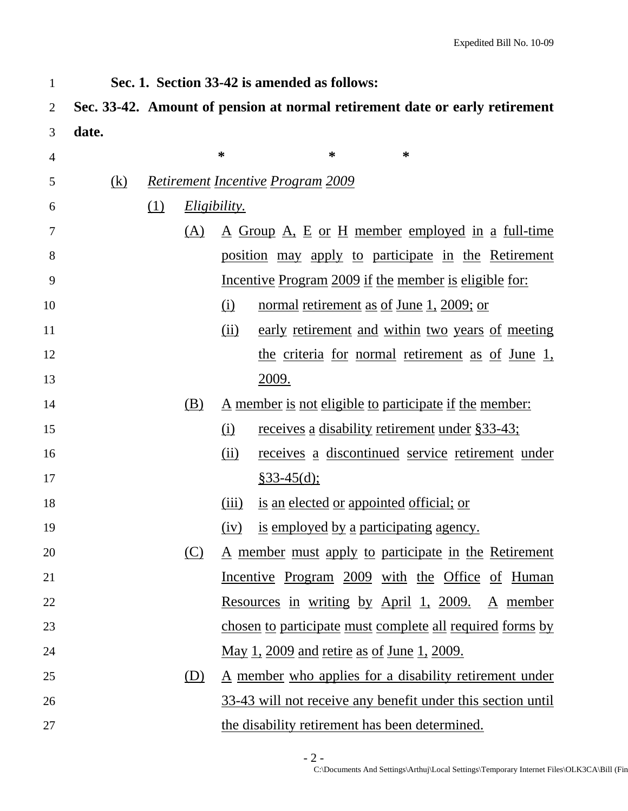1 **Sec. 1. Section 33-42 is amended as follows:** 

# 2 **Sec. 33-42. Amount of pension at normal retirement date or early retirement**  3 **date.**

| $\overline{4}$ |     |            |     | *                   | *<br>∗                                                        |  |
|----------------|-----|------------|-----|---------------------|---------------------------------------------------------------|--|
| 5              | (k) |            |     |                     | <b>Retirement Incentive Program 2009</b>                      |  |
| 6              |     | <u>(1)</u> |     | <i>Eligibility.</i> |                                                               |  |
| 7              |     |            | (A) |                     | <u>A Group A, E or H member employed in a full-time</u>       |  |
| 8              |     |            |     |                     | position may apply to participate in the Retirement           |  |
| 9              |     |            |     |                     | <u>Incentive Program 2009 if the member is eligible for:</u>  |  |
| 10             |     |            |     | (i)                 | normal retirement as of June 1, 2009; or                      |  |
| 11             |     |            |     | (ii)                | early retirement and within two years of meeting              |  |
| 12             |     |            |     |                     | the criteria for normal retirement as of June 1,              |  |
| 13             |     |            |     |                     | <u>2009.</u>                                                  |  |
| 14             |     |            | (B) |                     | <u>A member is not eligible to participate if the member:</u> |  |
| 15             |     |            |     | (i)                 | <u>receives a disability retirement under §33-43;</u>         |  |
| 16             |     |            |     | (ii)                | <u>receives a discontinued service retirement under</u>       |  |
| 17             |     |            |     |                     | $§33-45(d);$                                                  |  |
| 18             |     |            |     | (iii)               | is an elected or appointed official; or                       |  |
| 19             |     |            |     | (iv)                | is employed by a participating agency.                        |  |
| 20             |     |            | (C) |                     | <u>A member must apply to participate in the Retirement</u>   |  |
| 21             |     |            |     |                     | <u>Incentive</u> Program 2009 with the Office of Human        |  |
| 22             |     |            |     |                     | <u>Resources in writing by April 1, 2009. A member</u>        |  |
| 23             |     |            |     |                     | chosen to participate must complete all required forms by     |  |
| 24             |     |            |     |                     | <u>May 1, 2009 and retire as of June 1, 2009.</u>             |  |
| 25             |     |            | (D) |                     | <u>A member who applies for a disability retirement under</u> |  |
| 26             |     |            |     |                     | 33-43 will not receive any benefit under this section until   |  |
| 27             |     |            |     |                     | the disability retirement has been determined.                |  |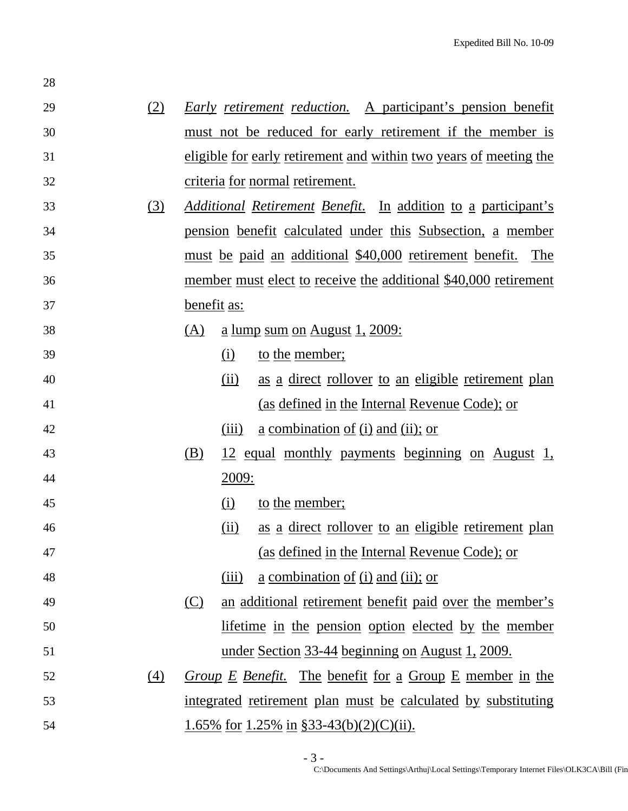| 29 | (2)              |            | <b>Early</b> retirement reduction. A participant's pension benefit         |
|----|------------------|------------|----------------------------------------------------------------------------|
| 30 |                  |            | must not be reduced for early retirement if the member is                  |
| 31 |                  |            | eligible for early retirement and within two years of meeting the          |
| 32 |                  |            | criteria for normal retirement.                                            |
| 33 | (3)              |            | <i>Additional Retirement Benefit.</i> In addition to a participant's       |
| 34 |                  |            | pension benefit calculated under this Subsection, a member                 |
| 35 |                  |            | must be paid an additional \$40,000 retirement benefit.<br>The             |
| 36 |                  |            | member must elect to receive the additional \$40,000 retirement            |
| 37 |                  |            | benefit as:                                                                |
| 38 |                  | (A)        | $\underline{a}$ lump sum on August 1, 2009:                                |
| 39 |                  |            | to the member;<br>(i)                                                      |
| 40 |                  |            | as a direct rollover to an eligible retirement plan<br>(ii)                |
| 41 |                  |            | (as defined in the Internal Revenue Code); or                              |
| 42 |                  |            | <u>a combination of (i) and (ii); or</u><br>(iii)                          |
| 43 |                  | (B)        | <u>12 equal monthly payments beginning on August 1,</u>                    |
| 44 |                  |            | 2009:                                                                      |
| 45 |                  |            | to the member;<br>(i)                                                      |
| 46 |                  |            | <u>as a direct rollover to an eligible retirement plan</u><br>(ii)         |
| 47 |                  |            | (as defined in the Internal Revenue Code); or                              |
| 48 |                  |            | $\underline{a}$ combination of (i) and (ii); or<br>(iii)                   |
| 49 |                  | <u>(C)</u> | an additional retirement benefit paid over the member's                    |
| 50 |                  |            | lifetime in the pension option elected by the member                       |
| 51 |                  |            | <u>under Section 33-44 beginning on August 1, 2009.</u>                    |
| 52 | $\left(4\right)$ |            | <i>Group</i> $E$ <i>Benefit.</i> The benefit for a Group $E$ member in the |
| 53 |                  |            | integrated retirement plan must be calculated by substituting              |
| 54 |                  |            | <u>1.65% for 1.25% in §33-43(b)(2)(C)(ii).</u>                             |

28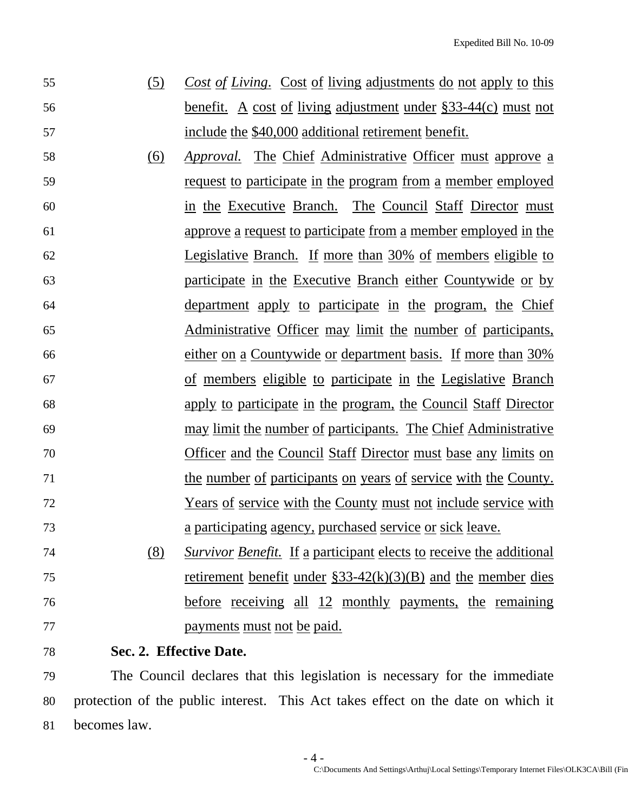- 55 (5) *Cost of Living*. Cost of living adjustments do not apply to this 56 benefit. A cost of living adjustment under §33-44(c) must not 57 include the \$40,000 additional retirement benefit.
- 58 (6) *Approval.* The Chief Administrative Officer must approve a 59 request to participate in the program from a member employed 60 in the Executive Branch. The Council Staff Director must 61 approve a request to participate from a member employed in the 62 Legislative Branch. If more than 30% of members eligible to 63 participate in the Executive Branch either Countywide or by 64 department apply to participate in the program, the Chief 65 Administrative Officer may limit the number of participants, 66 either on a Countywide or department basis. If more than 30% 67 of members eligible to participate in the Legislative Branch 68 apply to participate in the program, the Council Staff Director 69 may limit the number of participants. The Chief Administrative 70 Officer and the Council Staff Director must base any limits on 71 the number of participants on years of service with the County. 72 Years of service with the County must not include service with 73 a participating agency, purchased service or sick leave.
- 74 (8) *Survivor Benefit.* If a participant elects to receive the additional 75 retirement benefit under §33-42(k)(3)(B) and the member dies 76 before receiving all 12 monthly payments, the remaining 77 payments must not be paid.
- 78 **Sec. 2. Effective Date.**

79 The Council declares that this legislation is necessary for the immediate 80 protection of the public interest. This Act takes effect on the date on which it 81 becomes law.